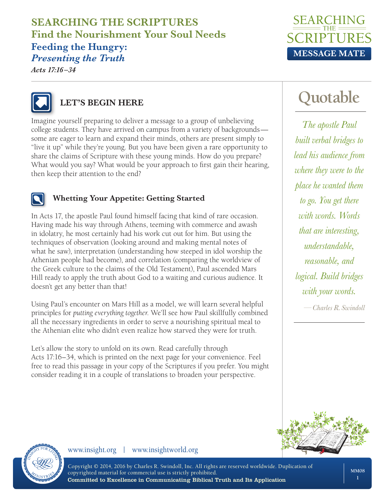# **SEARCHING THE SCRIPTURES Find the Nourishment Your Soul Needs**

#### **Feeding the Hungry:**  *Presenting the Truth*

*Acts 17:16 –34*





#### **LET'S BEGIN HERE**

Imagine yourself preparing to deliver a message to a group of unbelieving college students. They have arrived on campus from a variety of backgrounds some are eager to learn and expand their minds, others are present simply to "live it up" while they're young. But you have been given a rare opportunity to share the claims of Scripture with these young minds. How do you prepare? What would you say? What would be your approach to first gain their hearing, then keep their attention to the end?



#### **Whetting Your Appetite: Getting Started**

In Acts 17, the apostle Paul found himself facing that kind of rare occasion. Having made his way through Athens, teeming with commerce and awash in idolatry, he most certainly had his work cut out for him. But using the techniques of observation (looking around and making mental notes of what he saw), interpretation (understanding how steeped in idol worship the Athenian people had become), and correlation (comparing the worldview of the Greek culture to the claims of the Old Testament), Paul ascended Mars Hill ready to apply the truth about God to a waiting and curious audience. It doesn't get any better than that!

Using Paul's encounter on Mars Hill as a model, we will learn several helpful principles for *putting everything together*. We'll see how Paul skillfully combined all the necessary ingredients in order to serve a nourishing spiritual meal to the Athenian elite who didn't even realize how starved they were for truth.

Let's allow the story to unfold on its own. Read carefully through Acts 17:16–34, which is printed on the next page for your convenience. Feel free to read this passage in your copy of the Scriptures if you prefer. You might consider reading it in a couple of translations to broaden your perspective.

# **Quotable**

*The apostle Paul built verbal bridges to lead his audience from where they were to the place he wanted them to go. You get there with words. Words that are interesting, understandable, reasonable, and logical. Build bridges with your words.*

*—Charles R. Swindoll*





www.insight.org | www.insightworld.org

Copyright © 2014, 2016 by Charles R. Swindoll, Inc. All rights are reserved worldwide. Duplication of copyrighted material for commercial use is strictly prohibited. Committed to Excellence in Communicating Biblical Truth and Its Application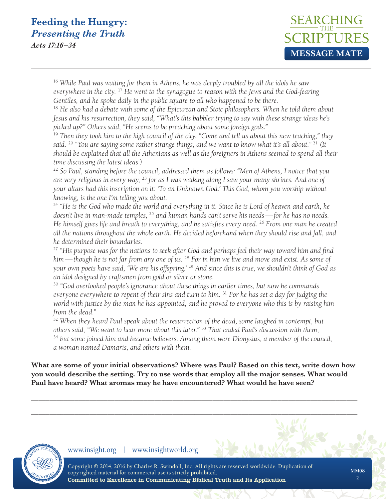*Acts 17:16 –34*



<sup>16</sup> *While Paul was waiting for them in Athens, he was deeply troubled by all the idols he saw everywhere in the city.* <sup>17</sup> *He went to the synagogue to reason with the Jews and the God-fearing Gentiles, and he spoke daily in the public square to all who happened to be there.*

<sup>18</sup> He also had a debate with some of the Epicurean and Stoic philosophers. When he told them about *Jesus and his resurrection, they said, "What's this babbler trying to say with these strange ideas he's picked up?" Others said, "He seems to be preaching about some foreign gods."*

<sup>19</sup> *Then they took him to the high council of the city. "Come and tell us about this new teaching," they said.* <sup>20</sup> *"You are saying some rather strange things, and we want to know what it's all about."* <sup>21</sup> *(It should be explained that all the Athenians as well as the foreigners in Athens seemed to spend all their time discussing the latest ideas.)*

<sup>22</sup> *So Paul, standing before the council, addressed them as follows: "Men of Athens, I notice that you are very religious in every way,* <sup>23</sup> *for as I was walking along I saw your many shrines. And one of your altars had this inscription on it: 'To an Unknown God.' This God, whom you worship without knowing, is the one I'm telling you about.*

<sup>24</sup> *"He is the God who made the world and everything in it. Since he is Lord of heaven and earth, he doesn't live in man-made temples,* <sup>25</sup> *and human hands can't serve his needs—for he has no needs. He himself gives life and breath to everything, and he satisfies every need.* <sup>26</sup> *From one man he created all the nations throughout the whole earth. He decided beforehand when they should rise and fall, and he determined their boundaries.*

<sup>27</sup> *"His purpose was for the nations to seek after God and perhaps feel their way toward him and find him—though he is not far from any one of us.* <sup>28</sup> *For in him we live and move and exist. As some of your own poets have said, 'We are his offspring.'* <sup>29</sup> *And since this is true, we shouldn't think of God as an idol designed by craftsmen from gold or silver or stone.*

<sup>30</sup> *"God overlooked people's ignorance about these things in earlier times, but now he commands everyone everywhere to repent of their sins and turn to him.* <sup>31</sup> *For he has set a day for judging the world with justice by the man he has appointed, and he proved to everyone who this is by raising him from the dead."*

<sup>32</sup> When they heard Paul speak about the resurrection of the dead, some laughed in contempt, but *others said, "We want to hear more about this later."* <sup>33</sup> *That ended Paul's discussion with them,* 

<sup>34</sup> *but some joined him and became believers. Among them were Dionysius, a member of the council, a woman named Damaris, and others with them.*

**What are some of your initial observations? Where was Paul? Based on this text, write down how you would describe the setting. Try to use words that employ all the major senses. What would Paul have heard? What aromas may he have encountered? What would he have seen?**

\_\_\_\_\_\_\_\_\_\_\_\_\_\_\_\_\_\_\_\_\_\_\_\_\_\_\_\_\_\_\_\_\_\_\_\_\_\_\_\_\_\_\_\_\_\_\_\_\_\_\_\_\_\_\_\_\_\_\_\_\_\_\_\_\_\_\_\_\_\_\_\_\_\_\_\_\_\_\_\_\_\_\_\_\_\_\_\_\_\_

\_\_\_\_\_\_\_\_\_\_\_\_\_\_\_\_\_\_\_\_\_\_\_\_\_\_\_\_\_\_\_\_\_\_\_\_\_\_\_\_\_\_\_\_\_\_\_\_\_\_\_\_\_\_\_\_\_\_\_\_\_\_\_\_\_\_\_\_\_\_\_\_\_\_\_\_\_\_\_\_\_\_\_\_\_\_\_\_\_\_

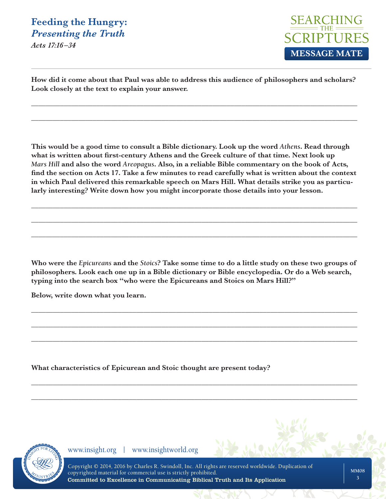*Acts 17:16 –34*



**How did it come about that Paul was able to address this audience of philosophers and scholars? Look closely at the text to explain your answer.** 

\_\_\_\_\_\_\_\_\_\_\_\_\_\_\_\_\_\_\_\_\_\_\_\_\_\_\_\_\_\_\_\_\_\_\_\_\_\_\_\_\_\_\_\_\_\_\_\_\_\_\_\_\_\_\_\_\_\_\_\_\_\_\_\_\_\_\_\_\_\_\_\_\_\_\_\_\_\_\_\_\_\_\_\_\_\_\_\_\_\_

\_\_\_\_\_\_\_\_\_\_\_\_\_\_\_\_\_\_\_\_\_\_\_\_\_\_\_\_\_\_\_\_\_\_\_\_\_\_\_\_\_\_\_\_\_\_\_\_\_\_\_\_\_\_\_\_\_\_\_\_\_\_\_\_\_\_\_\_\_\_\_\_\_\_\_\_\_\_\_\_\_\_\_\_\_\_\_\_\_\_

**This would be a good time to consult a Bible dictionary. Look up the word** *Athens***. Read through what is written about first-century Athens and the Greek culture of that time. Next look up**  *Mars Hill* **and also the word** *Areopagus***. Also, in a reliable Bible commentary on the book of Acts, find the section on Acts 17. Take a few minutes to read carefully what is written about the context in which Paul delivered this remarkable speech on Mars Hill. What details strike you as particularly interesting? Write down how you might incorporate those details into your lesson.**

\_\_\_\_\_\_\_\_\_\_\_\_\_\_\_\_\_\_\_\_\_\_\_\_\_\_\_\_\_\_\_\_\_\_\_\_\_\_\_\_\_\_\_\_\_\_\_\_\_\_\_\_\_\_\_\_\_\_\_\_\_\_\_\_\_\_\_\_\_\_\_\_\_\_\_\_\_\_\_\_\_\_\_\_\_\_\_\_\_\_

\_\_\_\_\_\_\_\_\_\_\_\_\_\_\_\_\_\_\_\_\_\_\_\_\_\_\_\_\_\_\_\_\_\_\_\_\_\_\_\_\_\_\_\_\_\_\_\_\_\_\_\_\_\_\_\_\_\_\_\_\_\_\_\_\_\_\_\_\_\_\_\_\_\_\_\_\_\_\_\_\_\_\_\_\_\_\_\_\_\_

\_\_\_\_\_\_\_\_\_\_\_\_\_\_\_\_\_\_\_\_\_\_\_\_\_\_\_\_\_\_\_\_\_\_\_\_\_\_\_\_\_\_\_\_\_\_\_\_\_\_\_\_\_\_\_\_\_\_\_\_\_\_\_\_\_\_\_\_\_\_\_\_\_\_\_\_\_\_\_\_\_\_\_\_\_\_\_\_\_\_

**Who were the** *Epicureans* **and the** *Stoics***? Take some time to do a little study on these two groups of philosophers. Look each one up in a Bible dictionary or Bible encyclopedia. Or do a Web search, typing into the search box "who were the Epicureans and Stoics on Mars Hill?"** 

\_\_\_\_\_\_\_\_\_\_\_\_\_\_\_\_\_\_\_\_\_\_\_\_\_\_\_\_\_\_\_\_\_\_\_\_\_\_\_\_\_\_\_\_\_\_\_\_\_\_\_\_\_\_\_\_\_\_\_\_\_\_\_\_\_\_\_\_\_\_\_\_\_\_\_\_\_\_\_\_\_\_\_\_\_\_\_\_\_\_

\_\_\_\_\_\_\_\_\_\_\_\_\_\_\_\_\_\_\_\_\_\_\_\_\_\_\_\_\_\_\_\_\_\_\_\_\_\_\_\_\_\_\_\_\_\_\_\_\_\_\_\_\_\_\_\_\_\_\_\_\_\_\_\_\_\_\_\_\_\_\_\_\_\_\_\_\_\_\_\_\_\_\_\_\_\_\_\_\_\_

\_\_\_\_\_\_\_\_\_\_\_\_\_\_\_\_\_\_\_\_\_\_\_\_\_\_\_\_\_\_\_\_\_\_\_\_\_\_\_\_\_\_\_\_\_\_\_\_\_\_\_\_\_\_\_\_\_\_\_\_\_\_\_\_\_\_\_\_\_\_\_\_\_\_\_\_\_\_\_\_\_\_\_\_\_\_\_\_\_\_

\_\_\_\_\_\_\_\_\_\_\_\_\_\_\_\_\_\_\_\_\_\_\_\_\_\_\_\_\_\_\_\_\_\_\_\_\_\_\_\_\_\_\_\_\_\_\_\_\_\_\_\_\_\_\_\_\_\_\_\_\_\_\_\_\_\_\_\_\_\_\_\_\_\_\_\_\_\_\_\_\_\_\_\_\_\_\_\_\_\_

\_\_\_\_\_\_\_\_\_\_\_\_\_\_\_\_\_\_\_\_\_\_\_\_\_\_\_\_\_\_\_\_\_\_\_\_\_\_\_\_\_\_\_\_\_\_\_\_\_\_\_\_\_\_\_\_\_\_\_\_\_\_\_\_\_\_\_\_\_\_\_\_\_\_\_\_\_\_\_\_\_\_\_\_\_\_\_\_\_\_

**Below, write down what you learn.**

**What characteristics of Epicurean and Stoic thought are present today?** 

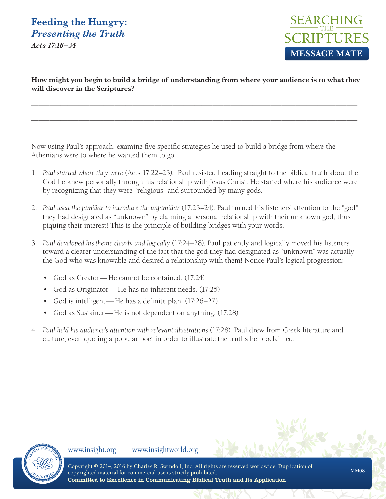*Acts 17:16 –34*



**How might you begin to build a bridge of understanding from where your audience is to what they will discover in the Scriptures?** 

\_\_\_\_\_\_\_\_\_\_\_\_\_\_\_\_\_\_\_\_\_\_\_\_\_\_\_\_\_\_\_\_\_\_\_\_\_\_\_\_\_\_\_\_\_\_\_\_\_\_\_\_\_\_\_\_\_\_\_\_\_\_\_\_\_\_\_\_\_\_\_\_\_\_\_\_\_\_\_\_\_\_\_\_\_\_\_\_\_\_

\_\_\_\_\_\_\_\_\_\_\_\_\_\_\_\_\_\_\_\_\_\_\_\_\_\_\_\_\_\_\_\_\_\_\_\_\_\_\_\_\_\_\_\_\_\_\_\_\_\_\_\_\_\_\_\_\_\_\_\_\_\_\_\_\_\_\_\_\_\_\_\_\_\_\_\_\_\_\_\_\_\_\_\_\_\_\_\_\_\_

Now using Paul's approach, examine five specific strategies he used to build a bridge from where the Athenians were to where he wanted them to go.

- 1. *Paul started where they were* (Acts 17:22–23). Paul resisted heading straight to the biblical truth about the God he knew personally through his relationship with Jesus Christ. He started where his audience were by recognizing that they were "religious" and surrounded by many gods.
- 2. *Paul used the familiar to introduce the unfamiliar* (17:23–24). Paul turned his listeners' attention to the "god" they had designated as "unknown" by claiming a personal relationship with their unknown god, thus piquing their interest! This is the principle of building bridges with your words.
- 3. *Paul developed his theme clearly and logically* (17:24–28). Paul patiently and logically moved his listeners toward a clearer understanding of the fact that the god they had designated as "unknown" was actually the God who was knowable and desired a relationship with them! Notice Paul's logical progression:
	- God as Creator—He cannot be contained. (17:24)
	- God as Originator—He has no inherent needs. (17:25)
	- God is intelligent—He has a definite plan. (17:26–27)
	- God as Sustainer—He is not dependent on anything. (17:28)
- 4. *Paul held his audience's attention with relevant illustrations* (17:28). Paul drew from Greek literature and culture, even quoting a popular poet in order to illustrate the truths he proclaimed.

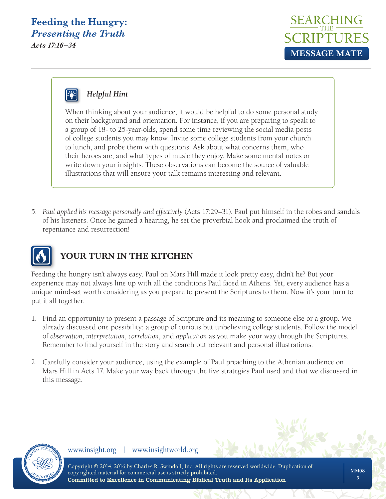*Acts 17:16 –34*





#### *Helpful Hint*

When thinking about your audience, it would be helpful to do some personal study on their background and orientation. For instance, if you are preparing to speak to a group of 18- to 25-year-olds, spend some time reviewing the social media posts of college students you may know. Invite some college students from your church to lunch, and probe them with questions. Ask about what concerns them, who their heroes are, and what types of music they enjoy. Make some mental notes or write down your insights. These observations can become the source of valuable illustrations that will ensure your talk remains interesting and relevant.

5. *Paul applied his message personally and effectively* (Acts 17:29–31). Paul put himself in the robes and sandals of his listeners. Once he gained a hearing, he set the proverbial hook and proclaimed the truth of repentance and resurrection!



#### **YOUR TURN IN THE KITCHEN**

Feeding the hungry isn't always easy. Paul on Mars Hill made it look pretty easy, didn't he? But your experience may not always line up with all the conditions Paul faced in Athens. Yet, every audience has a unique mind-set worth considering as you prepare to present the Scriptures to them. Now it's your turn to put it all together.

- 1. Find an opportunity to present a passage of Scripture and its meaning to someone else or a group. We already discussed one possibility: a group of curious but unbelieving college students. Follow the model of *observation*, *interpretation*, *correlation*, and *application* as you make your way through the Scriptures. Remember to find yourself in the story and search out relevant and personal illustrations.
- 2. Carefully consider your audience, using the example of Paul preaching to the Athenian audience on Mars Hill in Acts 17. Make your way back through the five strategies Paul used and that we discussed in this message.

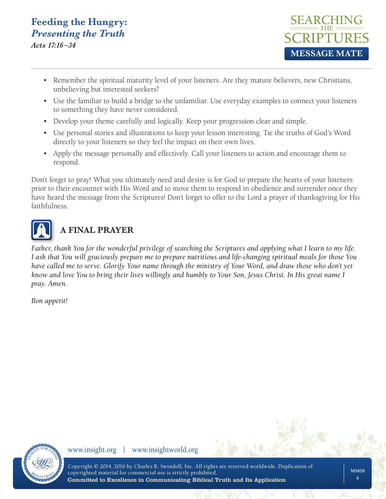*Acts 17:16 –34*



- Remember the spiritual maturity level of your listeners. Are they mature believers, new Christians, unbelieving but interested seekers?
- Use the familiar to build a bridge to the unfamiliar. Use everyday examples to connect your listeners to something they have never considered.
- Develop your theme carefully and logically. Keep your progression clear and simple.
- Use personal stories and illustrations to keep your lesson interesting. Tie the truths of God's Word directly to your listeners so they feel the impact on their own lives.
- Apply the message personally and effectively. Call your listeners to action and encourage them to respond.

Don't forget to pray! What you ultimately need and desire is for God to prepare the hearts of your listeners prior to their encounter with His Word and to move them to respond in obedience and surrender once they have heard the message from the Scriptures! Don't forget to offer to the Lord a prayer of thanksgiving for His faithfulness.



### **A FINAL PRAYER**

*Father, thank You for the wonderful privilege of searching the Scriptures and applying what I learn to my life. I ask that You will graciously prepare me to prepare nutritious and life-changing spiritual meals for those You have called me to serve. Glorify Your name through the ministry of Your Word, and draw those who don't yet know and love You to bring their lives willingly and humbly to Your Son, Jesus Christ. In His great name I pray. Amen.* 

*Bon appétit!*